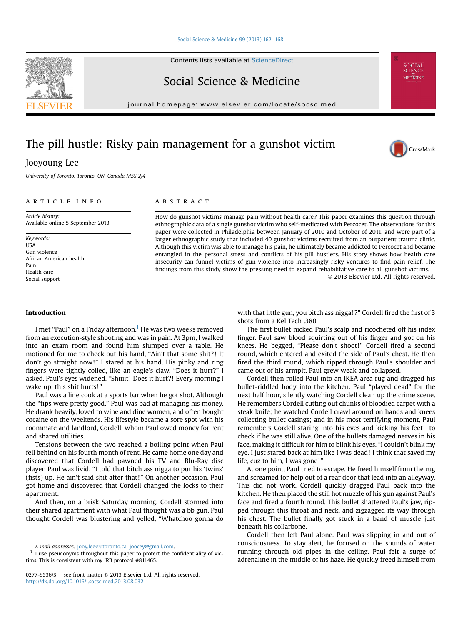#### Social Science & Medicine  $99(2013) 162-168$  $99(2013) 162-168$

Contents lists available at [ScienceDirect](www.sciencedirect.com/science/journal/02779536)

### Social Science & Medicine

journal homepage: [www.elsevier.com/locate/socscimed](http://www.elsevier.com/locate/socscimed)

## The pill hustle: Risky pain management for a gunshot victim

### Jooyoung Lee

University of Toronto, Toronto, ON, Canada M5S 2J4

#### article info

Article history: Available online 5 September 2013

Keywords: USA Gun violence African American health Pain Health care Social support

#### **ABSTRACT**

How do gunshot victims manage pain without health care? This paper examines this question through ethnographic data of a single gunshot victim who self-medicated with Percocet. The observations for this paper were collected in Philadelphia between January of 2010 and October of 2011, and were part of a larger ethnographic study that included 40 gunshot victims recruited from an outpatient trauma clinic. Although this victim was able to manage his pain, he ultimately became addicted to Percocet and became entangled in the personal stress and conflicts of his pill hustlers. His story shows how health care insecurity can funnel victims of gun violence into increasingly risky ventures to find pain relief. The findings from this study show the pressing need to expand rehabilitative care to all gunshot victims. 2013 Elsevier Ltd. All rights reserved.

#### Introduction

I met "Paul" on a Friday afternoon.<sup>1</sup> He was two weeks removed from an execution-style shooting and was in pain. At 3pm, I walked into an exam room and found him slumped over a table. He motioned for me to check out his hand, "Ain't that some shit?! It don't go straight now!" I stared at his hand. His pinky and ring fingers were tightly coiled, like an eagle's claw. "Does it hurt?" I asked. Paul's eyes widened, "Shiiiit! Does it hurt?! Every morning I wake up, this shit hurts!"

Paul was a line cook at a sports bar when he got shot. Although the "tips were pretty good," Paul was bad at managing his money. He drank heavily, loved to wine and dine women, and often bought cocaine on the weekends. His lifestyle became a sore spot with his roommate and landlord, Cordell, whom Paul owed money for rent and shared utilities.

Tensions between the two reached a boiling point when Paul fell behind on his fourth month of rent. He came home one day and discovered that Cordell had pawned his TV and Blu-Ray disc player. Paul was livid. "I told that bitch ass nigga to put his 'twins' (fists) up. He ain't said shit after that!" On another occasion, Paul got home and discovered that Cordell changed the locks to their apartment.

And then, on a brisk Saturday morning, Cordell stormed into their shared apartment with what Paul thought was a bb gun. Paul thought Cordell was blustering and yelled, "Whatchoo gonna do with that little gun, you bitch ass nigga!?" Cordell fired the first of 3 shots from a Kel Tech .380.

The first bullet nicked Paul's scalp and ricocheted off his index finger. Paul saw blood squirting out of his finger and got on his knees. He begged, "Please don't shoot!" Cordell fired a second round, which entered and exited the side of Paul's chest. He then fired the third round, which ripped through Paul's shoulder and came out of his armpit. Paul grew weak and collapsed.

Cordell then rolled Paul into an IKEA area rug and dragged his bullet-riddled body into the kitchen. Paul "played dead" for the next half hour, silently watching Cordell clean up the crime scene. He remembers Cordell cutting out chunks of bloodied carpet with a steak knife; he watched Cordell crawl around on hands and knees collecting bullet casings; and in his most terrifying moment, Paul remembers Cordell staring into his eyes and kicking his feet-to check if he was still alive. One of the bullets damaged nerves in his face, making it difficult for him to blink his eyes. "I couldn't blink my eye. I just stared back at him like I was dead! I think that saved my life, cuz to him, I was gone!"

At one point, Paul tried to escape. He freed himself from the rug and screamed for help out of a rear door that lead into an alleyway. This did not work. Cordell quickly dragged Paul back into the kitchen. He then placed the still hot muzzle of his gun against Paul's face and fired a fourth round. This bullet shattered Paul's jaw, ripped through this throat and neck, and zigzagged its way through his chest. The bullet finally got stuck in a band of muscle just beneath his collarbone.

Cordell then left Paul alone. Paul was slipping in and out of consciousness. To stay alert, he focused on the sounds of water running through old pipes in the ceiling. Paul felt a surge of adrenaline in the middle of his haze. He quickly freed himself from





SOCIAL **MEDICIN** 

E-mail addresses: [jooy.lee@utoronto.ca,](mailto:jooy.lee@utoronto.ca) [joocey@gmail.com.](mailto:joocey@gmail.com)

 $1$  I use pseudonyms throughout this paper to protect the confidentiality of victims. This is consistent with my IRB protocol #811465.

<sup>0277-9536/\$ -</sup> see front matter  $\odot$  2013 Elsevier Ltd. All rights reserved. <http://dx.doi.org/10.1016/j.socscimed.2013.08.032>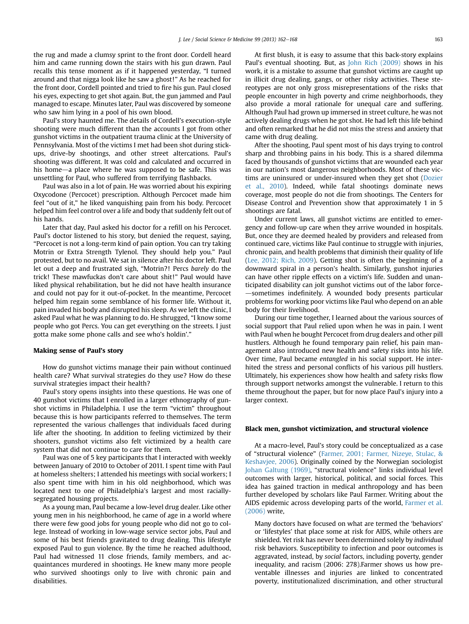the rug and made a clumsy sprint to the front door. Cordell heard him and came running down the stairs with his gun drawn. Paul recalls this tense moment as if it happened yesterday, "I turned around and that nigga look like he saw a ghost!" As he reached for the front door, Cordell pointed and tried to fire his gun. Paul closed his eyes, expecting to get shot again. But, the gun jammed and Paul managed to escape. Minutes later, Paul was discovered by someone who saw him lying in a pool of his own blood.

Paul's story haunted me. The details of Cordell's execution-style shooting were much different than the accounts I got from other gunshot victims in the outpatient trauma clinic at the University of Pennsylvania. Most of the victims I met had been shot during stickups, drive-by shootings, and other street altercations. Paul's shooting was different. It was cold and calculated and occurred in his home—a place where he was supposed to be safe. This was unsettling for Paul, who suffered from terrifying flashbacks.

Paul was also in a lot of pain. He was worried about his expiring Oxycodone (Percocet) prescription. Although Percocet made him feel "out of it," he liked vanquishing pain from his body. Percocet helped him feel control over a life and body that suddenly felt out of his hands.

Later that day, Paul asked his doctor for a refill on his Percocet. Paul's doctor listened to his story, but denied the request, saying, "Percocet is not a long-term kind of pain option. You can try taking Motrin or Extra Strength Tylenol. They should help you." Paul protested, but to no avail. We sat in silence after his doctor left. Paul let out a deep and frustrated sigh, "Motrin?! Percs barely do the trick! These mawfuckas don't care about shit!" Paul would have liked physical rehabilitation, but he did not have health insurance and could not pay for it out-of-pocket. In the meantime, Percocet helped him regain some semblance of his former life. Without it, pain invaded his body and disrupted his sleep. As we left the clinic, I asked Paul what he was planning to do. He shrugged, "I know some people who got Percs. You can get everything on the streets. I just gotta make some phone calls and see who's holdin'."

#### Making sense of Paul's story

How do gunshot victims manage their pain without continued health care? What survival strategies do they use? How do these survival strategies impact their health?

Paul's story opens insights into these questions. He was one of 40 gunshot victims that I enrolled in a larger ethnography of gunshot victims in Philadelphia. I use the term "victim" throughout because this is how participants referred to themselves. The term represented the various challenges that individuals faced during life after the shooting. In addition to feeling victimized by their shooters, gunshot victims also felt victimized by a health care system that did not continue to care for them.

Paul was one of 5 key participants that I interacted with weekly between January of 2010 to October of 2011. I spent time with Paul at homeless shelters; I attended his meetings with social workers; I also spent time with him in his old neighborhood, which was located next to one of Philadelphia's largest and most raciallysegregated housing projects.

As a young man, Paul became a low-level drug dealer. Like other young men in his neighborhood, he came of age in a world where there were few good jobs for young people who did not go to college. Instead of working in low-wage service sector jobs, Paul and some of his best friends gravitated to drug dealing. This lifestyle exposed Paul to gun violence. By the time he reached adulthood, Paul had witnessed 11 close friends, family members, and acquaintances murdered in shootings. He knew many more people who survived shootings only to live with chronic pain and disabilities.

At first blush, it is easy to assume that this back-story explains Paul's eventual shooting. But, as John Rich (2009) shows in his work, it is a mistake to assume that gunshot victims are caught up in illicit drug dealing, gangs, or other risky activities. These stereotypes are not only gross misrepresentations of the risks that people encounter in high poverty and crime neighborhoods, they also provide a moral rationale for unequal care and suffering. Although Paul had grown up immersed in street culture, he was not actively dealing drugs when he got shot. He had left this life behind and often remarked that he did not miss the stress and anxiety that came with drug dealing.

After the shooting, Paul spent most of his days trying to control sharp and throbbing pains in his body. This is a shared dilemma faced by thousands of gunshot victims that are wounded each year in our nation's most dangerous neighborhoods. Most of these victims are uninsured or under-insured when they get shot (Dozier et al., 2010). Indeed, while fatal shootings dominate news coverage, most people do not die from shootings. The Centers for Disease Control and Prevention show that approximately 1 in 5 shootings are fatal.

Under current laws, all gunshot victims are entitled to emergency and follow-up care when they arrive wounded in hospitals. But, once they are deemed healed by providers and released from continued care, victims like Paul continue to struggle with injuries, chronic pain, and health problems that diminish their quality of life (Lee, 2012; Rich, 2009). Getting shot is often the beginning of a downward spiral in a person's health. Similarly, gunshot injuries can have other ripple effects on a victim's life. Sudden and unanticipated disability can jolt gunshot victims out of the labor force--sometimes indefinitely. A wounded body presents particular problems for working poor victims like Paul who depend on an able body for their livelihood.

During our time together, I learned about the various sources of social support that Paul relied upon when he was in pain. I went with Paul when he bought Percocet from drug dealers and other pill hustlers. Although he found temporary pain relief, his pain management also introduced new health and safety risks into his life. Over time, Paul became entangled in his social support. He interhited the stress and personal conflicts of his various pill hustlers. Ultimately, his experiences show how health and safety risks flow through support networks amongst the vulnerable. I return to this theme throughout the paper, but for now place Paul's injury into a larger context.

#### Black men, gunshot victimization, and structural violence

At a macro-level, Paul's story could be conceptualized as a case of "structural violence" (Farmer, 2001; Farmer, Nizeye, Stulac, & Keshavjee, 2006). Originally coined by the Norwegian sociologist Johan Galtung (1969), "structural violence" links individual level outcomes with larger, historical, political, and social forces. This idea has gained traction in medical anthropology and has been further developed by scholars like Paul Farmer. Writing about the AIDS epidemic across developing parts of the world, Farmer et al. (2006) write,

Many doctors have focused on what are termed the 'behaviors' or 'lifestyles' that place some at risk for AIDS, while others are shielded. Yet risk has never been determined solely by individual risk behaviors. Susceptibility to infection and poor outcomes is aggravated, instead, by social factors, including poverty, gender inequality, and racism (2006: 278).Farmer shows us how preventable illnesses and injuries are linked to concentrated poverty, institutionalized discrimination, and other structural